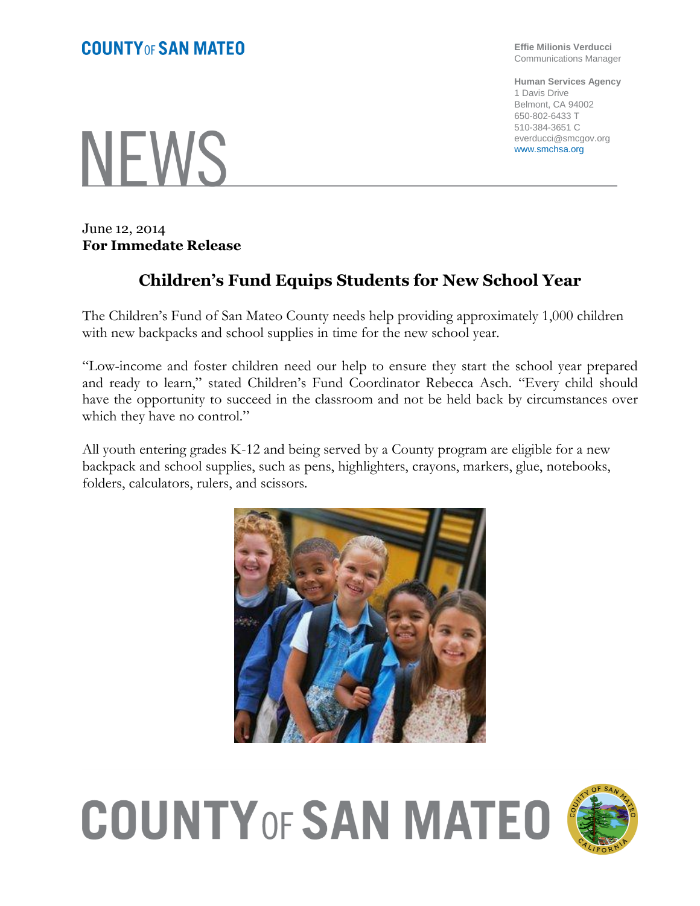## **COUNTY OF SAN MATEO**

NEWS

June 12, 2014 **For Immedate Release**

## **Children's Fund Equips Students for New School Year**

The Children's Fund of San Mateo County needs help providing approximately 1,000 children with new backpacks and school supplies in time for the new school year.

"Low-income and foster children need our help to ensure they start the school year prepared and ready to learn," stated Children's Fund Coordinator Rebecca Asch. "Every child should have the opportunity to succeed in the classroom and not be held back by circumstances over which they have no control."

All youth entering grades K-12 and being served by a County program are eligible for a new backpack and school supplies, such as pens, highlighters, crayons, markers, glue, notebooks, folders, calculators, rulers, and scissors.



## **COUNTY OF SAN MATEO**



**Effie Milionis Verducci** Communications Manager

**Human Services Agency** 1 Davis Drive Belmont, CA 94002 650-802-6433 T 510-384-3651 C everducci@smcgov.org www.smchsa.org